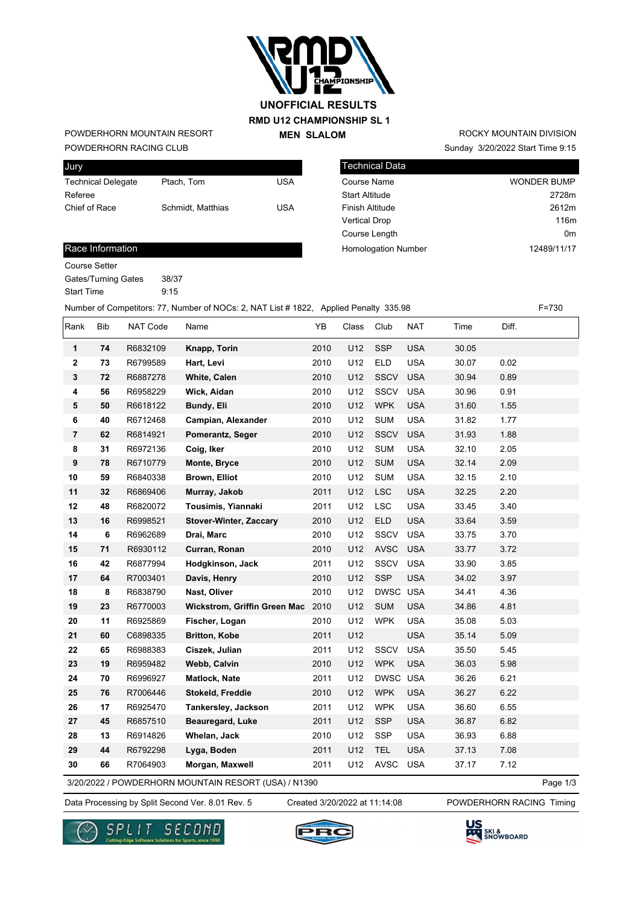

# **RMD U12 CHAMPIONSHIP SL 1 MEN SLALOM UNOFFICIAL RESULTS**

POWDERHORN RACING CLUB POWDERHORN MOUNTAIN RESORT

| Jury                      |                   |     |
|---------------------------|-------------------|-----|
| <b>Technical Delegate</b> | Ptach. Tom        | USA |
| Referee                   |                   |     |
| Chief of Race             | Schmidt, Matthias | USA |
|                           |                   |     |

| <b>Technical Data</b>      |                    |
|----------------------------|--------------------|
| Course Name                | <b>WONDER BUMP</b> |
| <b>Start Altitude</b>      | 2728m              |
| <b>Finish Altitude</b>     | 2612m              |
| <b>Vertical Drop</b>       | 116m               |
| Course Length              | 0 <sub>m</sub>     |
| <b>Homologation Number</b> | 12489/11/17        |

Sunday 3/20/2022 Start Time 9:15 ROCKY MOUNTAIN DIVISION

#### Race Information

Course Setter

Gates/Turning Gates 38/37 Start Time 9:15

Number of Competitors: 77, Number of NOCs: 2, NAT List # 1822, Applied Penalty 335.98 F=730

| Rank                    | <b>Bib</b> | NAT Code | Name                          | YB   | Class | Club        | <b>NAT</b> | Time  | Diff. |
|-------------------------|------------|----------|-------------------------------|------|-------|-------------|------------|-------|-------|
| 1                       | 74         | R6832109 | Knapp, Torin                  | 2010 | U12   | <b>SSP</b>  | <b>USA</b> | 30.05 |       |
| $\mathbf 2$             | 73         | R6799589 | Hart, Levi                    | 2010 | U12   | <b>ELD</b>  | <b>USA</b> | 30.07 | 0.02  |
| $\mathbf{3}$            | 72         | R6887278 | <b>White, Calen</b>           | 2010 | U12   | <b>SSCV</b> | <b>USA</b> | 30.94 | 0.89  |
| $\overline{\mathbf{4}}$ | 56         | R6958229 | Wick, Aidan                   | 2010 | U12   | SSCV        | <b>USA</b> | 30.96 | 0.91  |
| 5                       | 50         | R6618122 | Bundy, Eli                    | 2010 | U12   | <b>WPK</b>  | <b>USA</b> | 31.60 | 1.55  |
| 6                       | 40         | R6712468 | Campian, Alexander            | 2010 | U12   | <b>SUM</b>  | <b>USA</b> | 31.82 | 1.77  |
| $\overline{7}$          | 62         | R6814921 | Pomerantz, Seger              | 2010 | U12   | <b>SSCV</b> | <b>USA</b> | 31.93 | 1.88  |
| $\bf8$                  | 31         | R6972136 | Coig, Iker                    | 2010 | U12   | <b>SUM</b>  | <b>USA</b> | 32.10 | 2.05  |
| $\boldsymbol{9}$        | 78         | R6710779 | Monte, Bryce                  | 2010 | U12   | <b>SUM</b>  | <b>USA</b> | 32.14 | 2.09  |
| 10                      | 59         | R6840338 | <b>Brown, Elliot</b>          | 2010 | U12   | <b>SUM</b>  | <b>USA</b> | 32.15 | 2.10  |
| 11                      | 32         | R6869406 | Murray, Jakob                 | 2011 | U12   | <b>LSC</b>  | <b>USA</b> | 32.25 | 2.20  |
| 12                      | 48         | R6820072 | Tousimis, Yiannaki            | 2011 | U12   | <b>LSC</b>  | <b>USA</b> | 33.45 | 3.40  |
| 13                      | 16         | R6998521 | <b>Stover-Winter, Zaccary</b> | 2010 | U12   | <b>ELD</b>  | <b>USA</b> | 33.64 | 3.59  |
| 14                      | 6          | R6962689 | Drai, Marc                    | 2010 | U12   | SSCV        | <b>USA</b> | 33.75 | 3.70  |
| 15                      | 71         | R6930112 | Curran, Ronan                 | 2010 | U12   | <b>AVSC</b> | <b>USA</b> | 33.77 | 3.72  |
| 16                      | 42         | R6877994 | Hodgkinson, Jack              | 2011 | U12   | SSCV        | <b>USA</b> | 33.90 | 3.85  |
| 17                      | 64         | R7003401 | Davis, Henry                  | 2010 | U12   | <b>SSP</b>  | <b>USA</b> | 34.02 | 3.97  |
| 18                      | 8          | R6838790 | Nast, Oliver                  | 2010 | U12   | DWSC USA    |            | 34.41 | 4.36  |
| 19                      | 23         | R6770003 | Wickstrom, Griffin Green Mac  | 2010 | U12   | <b>SUM</b>  | <b>USA</b> | 34.86 | 4.81  |
| 20                      | 11         | R6925869 | Fischer, Logan                | 2010 | U12   | <b>WPK</b>  | <b>USA</b> | 35.08 | 5.03  |
| 21                      | 60         | C6898335 | <b>Britton, Kobe</b>          | 2011 | U12   |             | <b>USA</b> | 35.14 | 5.09  |
| 22                      | 65         | R6988383 | Ciszek, Julian                | 2011 | U12   | SSCV        | <b>USA</b> | 35.50 | 5.45  |
| 23                      | 19         | R6959482 | Webb, Calvin                  | 2010 | U12   | <b>WPK</b>  | <b>USA</b> | 36.03 | 5.98  |
| 24                      | 70         | R6996927 | Matlock, Nate                 | 2011 | U12   | DWSC USA    |            | 36.26 | 6.21  |
| 25                      | 76         | R7006446 | Stokeld, Freddie              | 2010 | U12   | <b>WPK</b>  | <b>USA</b> | 36.27 | 6.22  |
| 26                      | 17         | R6925470 | Tankersley, Jackson           | 2011 | U12   | <b>WPK</b>  | <b>USA</b> | 36.60 | 6.55  |
| 27                      | 45         | R6857510 | <b>Beauregard, Luke</b>       | 2011 | U12   | <b>SSP</b>  | <b>USA</b> | 36.87 | 6.82  |
| 28                      | 13         | R6914826 | Whelan, Jack                  | 2010 | U12   | SSP         | <b>USA</b> | 36.93 | 6.88  |
| 29                      | 44         | R6792298 | Lyga, Boden                   | 2011 | U12   | <b>TEL</b>  | <b>USA</b> | 37.13 | 7.08  |
| 30                      | 66         | R7064903 | Morgan, Maxwell               | 2011 | U12   | <b>AVSC</b> | <b>USA</b> | 37.17 | 7.12  |

3/20/2022 / POWDERHORN MOUNTAIN RESORT (USA) / N1390

Page 1/3

Data Processing by Split Second Ver. 8.01 Rev. 5 Created 3/20/2022 at 11:14:08 POWDERHORN RACING Timing

Created 3/20/2022 at 11:14:08





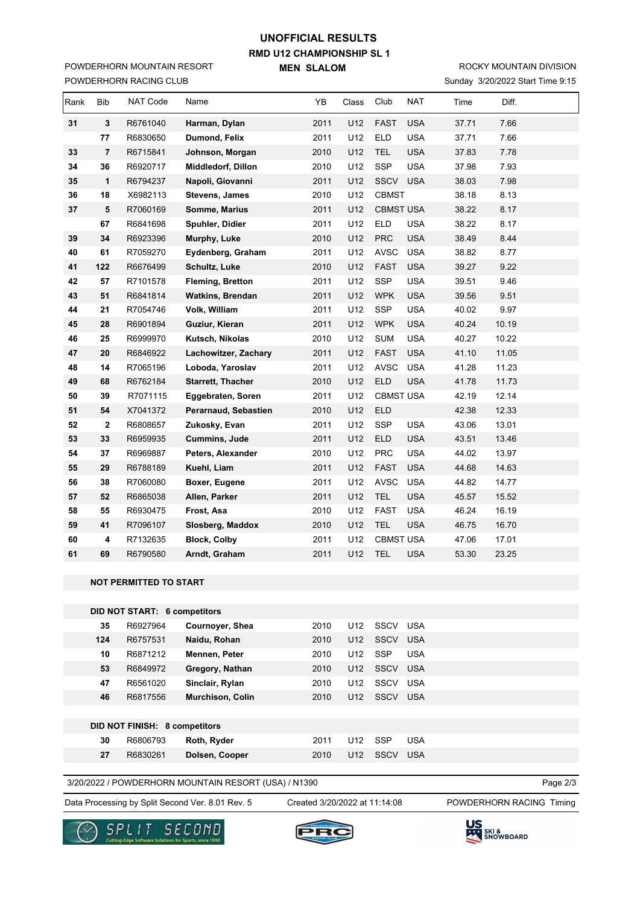# **RMD U12 CHAMPIONSHIP SL 1 MEN SLALOM UNOFFICIAL RESULTS**

POWDERHORN RACING CLUB POWDERHORN MOUNTAIN RESORT

### Sunday 3/20/2022 Start Time 9:15 ROCKY MOUNTAIN DIVISION

| Rank | <b>Bib</b>              | <b>NAT Code</b> | Name                    | YB   | Class | Club             | <b>NAT</b> | Time  | Diff. |  |
|------|-------------------------|-----------------|-------------------------|------|-------|------------------|------------|-------|-------|--|
| 31   | 3                       | R6761040        | Harman, Dylan           | 2011 | U12   | <b>FAST</b>      | <b>USA</b> | 37.71 | 7.66  |  |
|      | 77                      | R6830650        | Dumond, Felix           | 2011 | U12   | <b>ELD</b>       | <b>USA</b> | 37.71 | 7.66  |  |
| 33   | $\overline{7}$          | R6715841        | Johnson, Morgan         | 2010 | U12   | <b>TEL</b>       | <b>USA</b> | 37.83 | 7.78  |  |
| 34   | 36                      | R6920717        | Middledorf, Dillon      | 2010 | U12   | <b>SSP</b>       | <b>USA</b> | 37.98 | 7.93  |  |
| 35   | 1                       | R6794237        | Napoli, Giovanni        | 2011 | U12   | SSCV             | <b>USA</b> | 38.03 | 7.98  |  |
| 36   | 18                      | X6982113        | Stevens, James          | 2010 | U12   | <b>CBMST</b>     |            | 38.18 | 8.13  |  |
| 37   | 5                       | R7060169        | Somme, Marius           | 2011 | U12   | <b>CBMST USA</b> |            | 38.22 | 8.17  |  |
|      | 67                      | R6841698        | Spuhler, Didier         | 2011 | U12   | <b>ELD</b>       | <b>USA</b> | 38.22 | 8.17  |  |
| 39   | 34                      | R6923396        | Murphy, Luke            | 2010 | U12   | <b>PRC</b>       | <b>USA</b> | 38.49 | 8.44  |  |
| 40   | 61                      | R7059270        | Eydenberg, Graham       | 2011 | U12   | <b>AVSC</b>      | <b>USA</b> | 38.82 | 8.77  |  |
| 41   | 122                     | R6676499        | <b>Schultz, Luke</b>    | 2010 | U12   | <b>FAST</b>      | <b>USA</b> | 39.27 | 9.22  |  |
| 42   | 57                      | R7101578        | Fleming, Bretton        | 2011 | U12   | SSP              | <b>USA</b> | 39.51 | 9.46  |  |
| 43   | 51                      | R6841814        | <b>Watkins, Brendan</b> | 2011 | U12   | <b>WPK</b>       | <b>USA</b> | 39.56 | 9.51  |  |
| 44   | 21                      | R7054746        | Volk, William           | 2011 | U12   | SSP              | <b>USA</b> | 40.02 | 9.97  |  |
| 45   | 28                      | R6901894        | Guziur, Kieran          | 2011 | U12   | <b>WPK</b>       | <b>USA</b> | 40.24 | 10.19 |  |
| 46   | 25                      | R6999970        | Kutsch, Nikolas         | 2010 | U12   | <b>SUM</b>       | <b>USA</b> | 40.27 | 10.22 |  |
| 47   | 20                      | R6846922        | Lachowitzer, Zachary    | 2011 | U12   | <b>FAST</b>      | <b>USA</b> | 41.10 | 11.05 |  |
| 48   | 14                      | R7065196        | Loboda, Yaroslav        | 2011 | U12   | AVSC             | <b>USA</b> | 41.28 | 11.23 |  |
| 49   | 68                      | R6762184        | Starrett, Thacher       | 2010 | U12   | <b>ELD</b>       | <b>USA</b> | 41.78 | 11.73 |  |
| 50   | 39                      | R7071115        | Eggebraten, Soren       | 2011 | U12   | <b>CBMST USA</b> |            | 42.19 | 12.14 |  |
| 51   | 54                      | X7041372        | Perarnaud, Sebastien    | 2010 | U12   | <b>ELD</b>       |            | 42.38 | 12.33 |  |
| 52   | $\overline{\mathbf{2}}$ | R6808657        | Zukosky, Evan           | 2011 | U12   | SSP              | <b>USA</b> | 43.06 | 13.01 |  |
| 53   | 33                      | R6959935        | <b>Cummins, Jude</b>    | 2011 | U12   | <b>ELD</b>       | <b>USA</b> | 43.51 | 13.46 |  |
| 54   | 37                      | R6969887        | Peters, Alexander       | 2010 | U12   | <b>PRC</b>       | <b>USA</b> | 44.02 | 13.97 |  |
| 55   | 29                      | R6788189        | Kuehl, Liam             | 2011 | U12   | <b>FAST</b>      | <b>USA</b> | 44.68 | 14.63 |  |
| 56   | 38                      | R7060080        | Boxer, Eugene           | 2011 | U12   | <b>AVSC</b>      | <b>USA</b> | 44.82 | 14.77 |  |
| 57   | 52                      | R6865038        | Allen, Parker           | 2011 | U12   | <b>TEL</b>       | <b>USA</b> | 45.57 | 15.52 |  |
| 58   | 55                      | R6930475        | Frost, Asa              | 2010 | U12   | <b>FAST</b>      | <b>USA</b> | 46.24 | 16.19 |  |
| 59   | 41                      | R7096107        | Slosberg, Maddox        | 2010 | U12   | <b>TEL</b>       | <b>USA</b> | 46.75 | 16.70 |  |
| 60   | 4                       | R7132635        | <b>Block, Colby</b>     | 2011 | U12   | <b>CBMST USA</b> |            | 47.06 | 17.01 |  |
| 61   | 69                      | R6790580        | Arndt, Graham           | 2011 | U12   | <b>TEL</b>       | <b>USA</b> | 53.30 | 23.25 |  |

#### **NOT PERMITTED TO START**

| <b>DID NOT START: 6 competitors</b> |                                      |                         |      |                 |             |            |  |  |  |
|-------------------------------------|--------------------------------------|-------------------------|------|-----------------|-------------|------------|--|--|--|
| 35                                  | R6927964                             | Cournoyer, Shea         | 2010 | U <sub>12</sub> | SSCV        | <b>USA</b> |  |  |  |
| 124                                 | R6757531                             | Naidu, Rohan            | 2010 | U <sub>12</sub> | SSCV        | <b>USA</b> |  |  |  |
| 10                                  | R6871212                             | Mennen, Peter           | 2010 | U <sub>12</sub> | <b>SSP</b>  | <b>USA</b> |  |  |  |
| 53                                  | R6849972                             | Gregory, Nathan         | 2010 | U <sub>12</sub> | <b>SSCV</b> | <b>USA</b> |  |  |  |
| 47                                  | R6561020                             | Sinclair, Rylan         | 2010 | U <sub>12</sub> | SSCV        | <b>USA</b> |  |  |  |
| 46                                  | R6817556                             | <b>Murchison, Colin</b> | 2010 | U <sub>12</sub> | SSCV        | <b>USA</b> |  |  |  |
|                                     |                                      |                         |      |                 |             |            |  |  |  |
|                                     | <b>DID NOT FINISH: 8 competitors</b> |                         |      |                 |             |            |  |  |  |
| 30                                  | R6806793                             | Roth, Ryder             | 2011 | U <sub>12</sub> | <b>SSP</b>  | <b>USA</b> |  |  |  |
| 27                                  | R6830261                             | Dolsen, Cooper          | 2010 | U <sub>12</sub> | SSCV        | <b>USA</b> |  |  |  |

3/20/2022 / POWDERHORN MOUNTAIN RESORT (USA) / N1390

Data Processing by Split Second Ver. 8.01 Rev. 5 Created 3/20/2022 at 11:14:08 POWDERHORN RACING Timing

Created 3/20/2022 at 11:14:08

Page 2/3